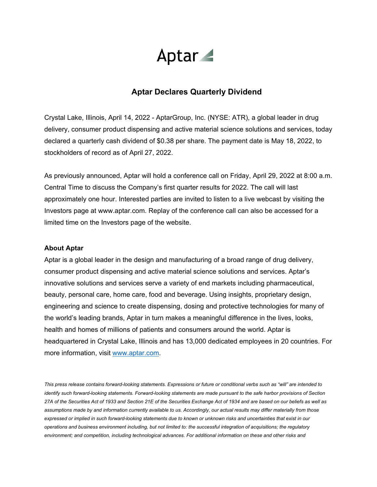

## **Aptar Declares Quarterly Dividend**

Crystal Lake, Illinois, April 14, 2022 - AptarGroup, Inc. (NYSE: ATR), a global leader in drug delivery, consumer product dispensing and active material science solutions and services, today declared a quarterly cash dividend of \$0.38 per share. The payment date is May 18, 2022, to stockholders of record as of April 27, 2022.

As previously announced, Aptar will hold a conference call on Friday, April 29, 2022 at 8:00 a.m. Central Time to discuss the Company's first quarter results for 2022. The call will last approximately one hour. Interested parties are invited to listen to a live webcast by visiting the Investors page at www.aptar.com. Replay of the conference call can also be accessed for a limited time on the Investors page of the website.

## **About Aptar**

Aptar is a global leader in the design and manufacturing of a broad range of drug delivery, consumer product dispensing and active material science solutions and services. Aptar's innovative solutions and services serve a variety of end markets including pharmaceutical, beauty, personal care, home care, food and beverage. Using insights, proprietary design, engineering and science to create dispensing, dosing and protective technologies for many of the world's leading brands, Aptar in turn makes a meaningful difference in the lives, looks, health and homes of millions of patients and consumers around the world. Aptar is headquartered in Crystal Lake, Illinois and has 13,000 dedicated employees in 20 countries. For more information, visit [www.aptar.com.](http://www.aptar.com/)

*This press release contains forward-looking statements. Expressions or future or conditional verbs such as "will" are intended to identify such forward-looking statements. Forward-looking statements are made pursuant to the safe harbor provisions of Section 27A of the Securities Act of 1933 and Section 21E of the Securities Exchange Act of 1934 and are based on our beliefs as well as assumptions made by and information currently available to us. Accordingly, our actual results may differ materially from those expressed or implied in such forward-looking statements due to known or unknown risks and uncertainties that exist in our operations and business environment including, but not limited to: the successful integration of acquisitions; the regulatory environment; and competition, including technological advances. For additional information on these and other risks and*